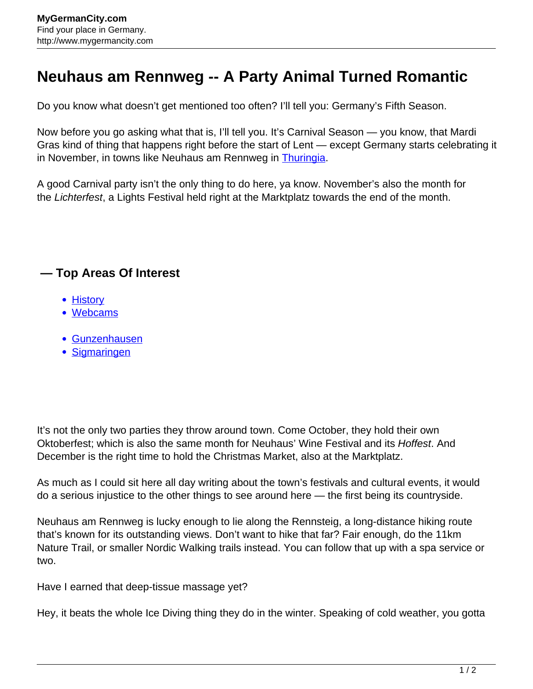## **Neuhaus am Rennweg -- A Party Animal Turned Romantic**

Do you know what doesn't get mentioned too often? I'll tell you: Germany's Fifth Season.

Now before you go asking what that is, I'll tell you. It's Carnival Season — you know, that Mardi Gras kind of thing that happens right before the start of Lent — except Germany starts celebrating it in November, in towns like Neuhaus am Rennweg in [Thuringia.](http://www.mygermancity.com/thuringia)

A good Carnival party isn't the only thing to do here, ya know. November's also the month for the Lichterfest, a Lights Festival held right at the Marktplatz towards the end of the month.

## **— Top Areas Of Interest**

- **[History](http://www.mygermancity.com/leipzig-history)**
- [Webcams](http://www.mygermancity.com/neustadt-holstein-webcams)
- [Gunzenhausen](http://www.mygermancity.com/gunzenhausen)
- [Sigmaringen](http://www.mygermancity.com/sigmaringen)

It's not the only two parties they throw around town. Come October, they hold their own Oktoberfest; which is also the same month for Neuhaus' Wine Festival and its *Hoffest*. And December is the right time to hold the Christmas Market, also at the Marktplatz.

As much as I could sit here all day writing about the town's festivals and cultural events, it would do a serious injustice to the other things to see around here — the first being its countryside.

Neuhaus am Rennweg is lucky enough to lie along the Rennsteig, a long-distance hiking route that's known for its outstanding views. Don't want to hike that far? Fair enough, do the 11km Nature Trail, or smaller Nordic Walking trails instead. You can follow that up with a spa service or two.

Have I earned that deep-tissue massage yet?

Hey, it beats the whole Ice Diving thing they do in the winter. Speaking of cold weather, you gotta